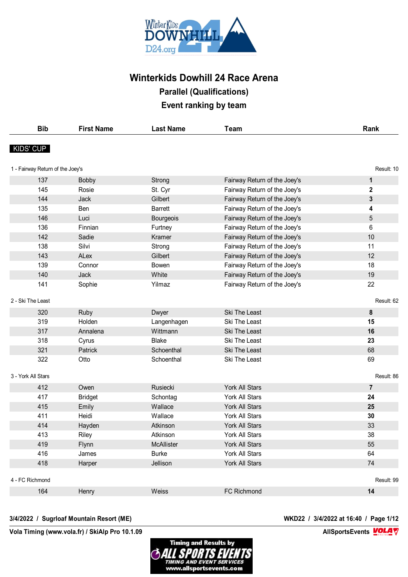

| <b>Bib</b>                       | <b>First Name</b> | <b>Last Name</b> | <b>Team</b>                  | Rank           |
|----------------------------------|-------------------|------------------|------------------------------|----------------|
| KIDS' CUP                        |                   |                  |                              |                |
| 1 - Fairway Return of the Joey's |                   |                  |                              | Result: 10     |
| 137                              | <b>Bobby</b>      | Strong           | Fairway Return of the Joey's | $\mathbf{1}$   |
| 145                              | Rosie             | St. Cyr          | Fairway Return of the Joey's | $\mathbf 2$    |
| 144                              | Jack              | Gilbert          | Fairway Return of the Joey's | 3              |
| 135                              | Ben               | <b>Barrett</b>   | Fairway Return of the Joey's | 4              |
| 146                              | Luci              | <b>Bourgeois</b> | Fairway Return of the Joey's | 5              |
| 136                              | Finnian           | Furtney          | Fairway Return of the Joey's | 6              |
| 142                              | Sadie             | Kramer           | Fairway Return of the Joey's | 10             |
| 138                              | Silvi             | Strong           | Fairway Return of the Joey's | 11             |
| 143                              | ALex              | Gilbert          | Fairway Return of the Joey's | 12             |
| 139                              | Connor            | <b>Bowen</b>     | Fairway Return of the Joey's | 18             |
| 140                              | Jack              | White            | Fairway Return of the Joey's | 19             |
| 141                              | Sophie            | Yilmaz           | Fairway Return of the Joey's | 22             |
| 2 - Ski The Least                |                   |                  |                              | Result: 62     |
| 320                              | Ruby              | Dwyer            | Ski The Least                | 8              |
| 319                              | Holden            | Langenhagen      | Ski The Least                | 15             |
| 317                              | Annalena          | Wittmann         | Ski The Least                | 16             |
| 318                              | Cyrus             | <b>Blake</b>     | Ski The Least                | 23             |
| 321                              | Patrick           | Schoenthal       | Ski The Least                | 68             |
| 322                              | Otto              | Schoenthal       | Ski The Least                | 69             |
| 3 - York All Stars               |                   |                  |                              | Result: 86     |
| 412                              | Owen              | <b>Rusiecki</b>  | York All Stars               | $\overline{7}$ |
| 417                              | <b>Bridget</b>    | Schontag         | York All Stars               | 24             |
| 415                              | Emily             | Wallace          | York All Stars               | 25             |
| 411                              | Heidi             | Wallace          | York All Stars               | 30             |
| 414                              | Hayden            | Atkinson         | <b>York All Stars</b>        | 33             |
| 413                              | Riley             | Atkinson         | York All Stars               | 38             |
| 419                              | Flynn             | McAllister       | York All Stars               | 55             |
| 416                              | James             | <b>Burke</b>     | York All Stars               | 64             |
| 418                              | Harper            | Jellison         | York All Stars               | 74             |
| 4 - FC Richmond                  |                   |                  |                              | Result: 99     |
| 164                              | Henry             | Weiss            | FC Richmond                  | 14             |
|                                  |                   |                  |                              |                |

#### **3/4/2022 / Sugrloaf Mountain Resort (ME) WKD22 / 3/4/2022 at 16:40 / Page 1/12**

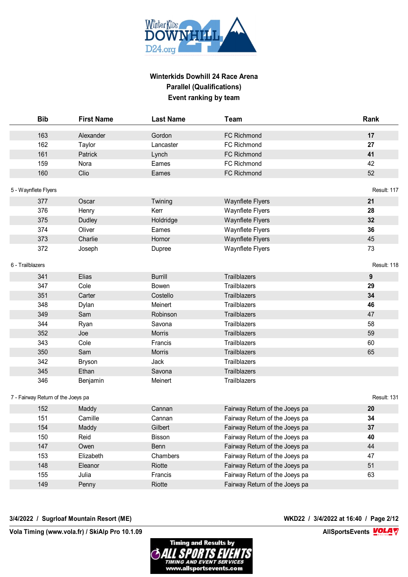

| <b>Bib</b>                         | <b>First Name</b> | <b>Last Name</b> | <b>Team</b>                    | Rank        |
|------------------------------------|-------------------|------------------|--------------------------------|-------------|
| 163                                | Alexander         | Gordon           | FC Richmond                    | 17          |
| 162                                | Taylor            | Lancaster        | <b>FC Richmond</b>             | 27          |
| 161                                | Patrick           | Lynch            | FC Richmond                    | 41          |
| 159                                | Nora              | Eames            | <b>FC Richmond</b>             | 42          |
| 160                                | Clio              | Eames            | FC Richmond                    | 52          |
| 5 - Waynflete Flyers               |                   |                  |                                | Result: 117 |
| 377                                | Oscar             | Twining          | <b>Waynflete Flyers</b>        | 21          |
| 376                                | Henry             | Kerr             | Waynflete Flyers               | 28          |
| 375                                | <b>Dudley</b>     | Holdridge        | <b>Waynflete Flyers</b>        | 32          |
| 374                                | Oliver            | Eames            | Waynflete Flyers               | 36          |
| 373                                | Charlie           | Hornor           | <b>Waynflete Flyers</b>        | 45          |
| 372                                | Joseph            | Dupree           | Waynflete Flyers               | 73          |
| 6 - Trailblazers                   |                   |                  |                                | Result: 118 |
| 341                                | Elias             | <b>Burrill</b>   | Trailblazers                   | 9           |
| 347                                | Cole              | <b>Bowen</b>     | Trailblazers                   | 29          |
| 351                                | Carter            | Costello         | Trailblazers                   | 34          |
| 348                                | Dylan             | Meinert          | Trailblazers                   | 46          |
| 349                                | Sam               | Robinson         | Trailblazers                   | 47          |
| 344                                | Ryan              | Savona           | Trailblazers                   | 58          |
| 352                                | Joe               | <b>Morris</b>    | <b>Trailblazers</b>            | 59          |
| 343                                | Cole              | Francis          | Trailblazers                   | 60          |
| 350                                | Sam               | <b>Morris</b>    | Trailblazers                   | 65          |
| 342                                | <b>Bryson</b>     | Jack             | Trailblazers                   |             |
| 345                                | Ethan             | Savona           | Trailblazers                   |             |
| 346                                | Benjamin          | Meinert          | Trailblazers                   |             |
| 7 - Fairway Return of the Joeys pa |                   |                  |                                | Result: 131 |
| 152                                | Maddy             | Cannan           | Fairway Return of the Joeys pa | 20          |
| 151                                | Camille           | Cannan           | Fairway Return of the Joeys pa | 34          |
| 154                                | Maddy             | Gilbert          | Fairway Return of the Joeys pa | 37          |
| 150                                | Reid              | Bisson           | Fairway Return of the Joeys pa | 40          |
| 147                                | Owen              | Benn             | Fairway Return of the Joeys pa | 44          |
| 153                                | Elizabeth         | Chambers         | Fairway Return of the Joeys pa | 47          |
| 148                                | Eleanor           | Riotte           | Fairway Return of the Joeys pa | 51          |
| 155                                | Julia             | Francis          | Fairway Return of the Joeys pa | 63          |
| 149                                | Penny             | Riotte           | Fairway Return of the Joeys pa |             |

#### **3/4/2022 / Sugrloaf Mountain Resort (ME) WKD22 / 3/4/2022 at 16:40 / Page 2/12**

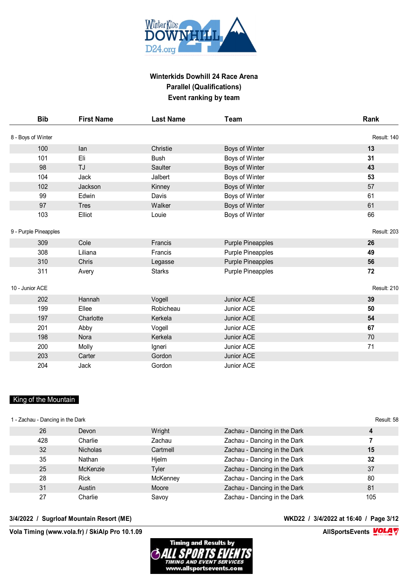

| <b>Bib</b>            | <b>First Name</b> | <b>Last Name</b> | Team                     | Rank        |
|-----------------------|-------------------|------------------|--------------------------|-------------|
| 8 - Boys of Winter    |                   |                  |                          | Result: 140 |
| 100                   | lan               | Christie         | Boys of Winter           | 13          |
| 101                   | Eli               | <b>Bush</b>      | Boys of Winter           | 31          |
| 98                    | TJ                | Saulter          | Boys of Winter           | 43          |
| 104                   | Jack              | Jalbert          | Boys of Winter           | 53          |
| 102                   | Jackson           | Kinney           | Boys of Winter           | 57          |
| 99                    | Edwin             | Davis            | Boys of Winter           | 61          |
| 97                    | <b>Tres</b>       | Walker           | Boys of Winter           | 61          |
| 103                   | Elliot            | Louie            | Boys of Winter           | 66          |
| 9 - Purple Pineapples |                   |                  |                          | Result: 203 |
| 309                   | Cole              | Francis          | <b>Purple Pineapples</b> | 26          |
| 308                   | Liliana           | Francis          | <b>Purple Pineapples</b> | 49          |
| 310                   | Chris             | Legasse          | <b>Purple Pineapples</b> | 56          |
| 311                   | Avery             | <b>Starks</b>    | <b>Purple Pineapples</b> | 72          |
| 10 - Junior ACE       |                   |                  |                          | Result: 210 |
| 202                   | Hannah            | Vogell           | Junior ACE               | 39          |
| 199                   | Ellee             | Robicheau        | Junior ACE               | 50          |
| 197                   | Charlotte         | Kerkela          | Junior ACE               | 54          |
| 201                   | Abby              | Vogell           | Junior ACE               | 67          |
| 198                   | Nora              | Kerkela          | Junior ACE               | 70          |
| 200                   | Molly             | Igneri           | Junior ACE               | 71          |
| 203                   | Carter            | Gordon           | Junior ACE               |             |
| 204                   | Jack              | Gordon           | Junior ACE               |             |

#### King of the Mountain

| 1 - Zachau - Dancing in the Dark |                 |          |                              | Result: 58 |
|----------------------------------|-----------------|----------|------------------------------|------------|
| 26                               | Devon           | Wright   | Zachau - Dancing in the Dark | 4          |
| 428                              | Charlie         | Zachau   | Zachau - Dancing in the Dark |            |
| 32                               | <b>Nicholas</b> | Cartmell | Zachau - Dancing in the Dark | 15         |
| 35                               | Nathan          | Hielm    | Zachau - Dancing in the Dark | 32         |
| 25                               | McKenzie        | Tyler    | Zachau - Dancing in the Dark | 37         |
| 28                               | <b>Rick</b>     | McKenney | Zachau - Dancing in the Dark | 80         |
| 31                               | Austin          | Moore    | Zachau - Dancing in the Dark | 81         |
| 27                               | Charlie         | Savoy    | Zachau - Dancing in the Dark | 105        |

#### **3/4/2022 / Sugrloaf Mountain Resort (ME) WKD22 / 3/4/2022 at 16:40 / Page 3/12**

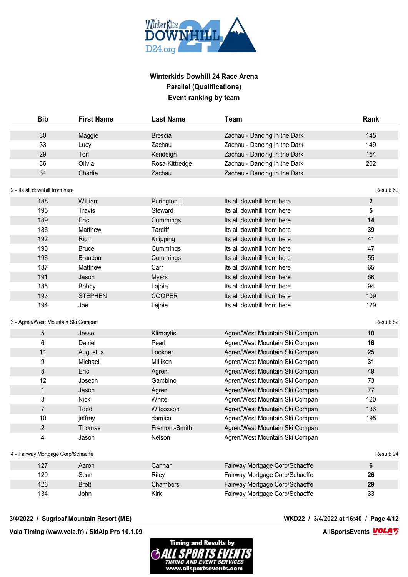

|                                    | <b>First Name</b> | <b>Last Name</b> | <b>Team</b>                    | Rank         |
|------------------------------------|-------------------|------------------|--------------------------------|--------------|
| 30                                 | Maggie            | <b>Brescia</b>   | Zachau - Dancing in the Dark   | 145          |
| 33                                 | Lucy              | Zachau           | Zachau - Dancing in the Dark   | 149          |
| 29                                 | Tori              | Kendeigh         | Zachau - Dancing in the Dark   | 154          |
| 36                                 | Olivia            | Rosa-Kittredge   | Zachau - Dancing in the Dark   | 202          |
| 34                                 | Charlie           | Zachau           | Zachau - Dancing in the Dark   |              |
| 2 - Its all downhill from here     |                   |                  |                                | Result: 60   |
| 188                                | William           | Purington II     | Its all downhill from here     | $\mathbf{2}$ |
| 195                                | Travis            | Steward          | Its all downhill from here     | 5            |
| 189                                | Eric              | Cummings         | Its all downhill from here     | 14           |
| 186                                | Matthew           | Tardiff          | Its all downhill from here     | 39           |
| 192                                | Rich              | Knipping         | Its all downhill from here     | 41           |
| 190                                | <b>Bruce</b>      | Cummings         | Its all downhill from here     | 47           |
| 196                                | <b>Brandon</b>    | Cummings         | Its all downhill from here     | 55           |
| 187                                | Matthew           | Carr             | Its all downhill from here     | 65           |
| 191                                | Jason             | <b>Myers</b>     | Its all downhill from here     | 86           |
| 185                                | Bobby             | Lajoie           | Its all downhill from here     | 94           |
| 193                                | <b>STEPHEN</b>    | <b>COOPER</b>    | Its all downhill from here     | 109          |
| 194                                | Joe               | Lajoie           | Its all downhill from here     | 129          |
|                                    |                   |                  |                                |              |
|                                    |                   |                  |                                |              |
| 3 - Agren/West Mountain Ski Compan |                   |                  |                                | Result: 82   |
| $\sqrt{5}$                         | Jesse             | Klimaytis        | Agren/West Mountain Ski Compan | 10           |
| 6                                  | Daniel            | Pearl            | Agren/West Mountain Ski Compan | 16           |
| 11                                 | Augustus          | Lookner          | Agren/West Mountain Ski Compan | 25           |
| 9                                  | Michael           | Milliken         | Agren/West Mountain Ski Compan | 31           |
| 8                                  | Eric              | Agren            | Agren/West Mountain Ski Compan | 49           |
| 12                                 | Joseph            | Gambino          | Agren/West Mountain Ski Compan | 73           |
| $\mathbf{1}$                       | Jason             | Agren            | Agren/West Mountain Ski Compan | 77           |
| 3                                  | <b>Nick</b>       | White            | Agren/West Mountain Ski Compan | 120          |
| $\overline{7}$                     | Todd              | Wilcoxson        | Agren/West Mountain Ski Compan | 136          |
| 10                                 | jeffrey           | damico           | Agren/West Mountain Ski Compan | 195          |
| $\overline{2}$                     | Thomas            | Fremont-Smith    | Agren/West Mountain Ski Compan |              |
| 4                                  | Jason             | Nelson           | Agren/West Mountain Ski Compan |              |
| 4 - Fairway Mortgage Corp/Schaeffe |                   |                  |                                | Result: 94   |
| 127                                | Aaron             | Cannan           | Fairway Mortgage Corp/Schaeffe | 6            |
| 129                                | Sean              | Riley            | Fairway Mortgage Corp/Schaeffe | 26           |
| 126                                | <b>Brett</b>      | Chambers         | Fairway Mortgage Corp/Schaeffe | 29           |

#### **3/4/2022 / Sugrloaf Mountain Resort (ME) WKD22 / 3/4/2022 at 16:40 / Page 4/12**

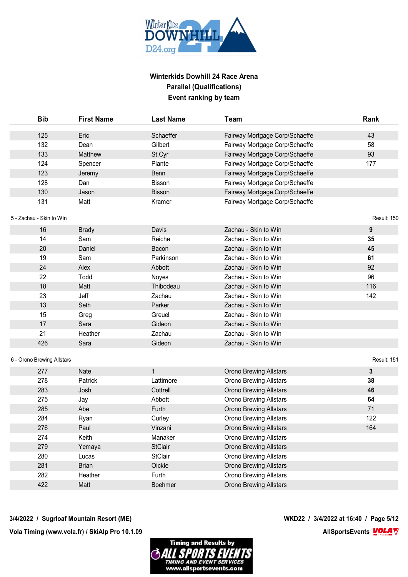

| <b>Bib</b>                 | <b>First Name</b> | <b>Last Name</b> | <b>Team</b>                    | Rank        |
|----------------------------|-------------------|------------------|--------------------------------|-------------|
| 125                        | Eric              | Schaeffer        | Fairway Mortgage Corp/Schaeffe | 43          |
| 132                        | Dean              | Gilbert          | Fairway Mortgage Corp/Schaeffe | 58          |
| 133                        | Matthew           | St.Cyr           | Fairway Mortgage Corp/Schaeffe | 93          |
| 124                        | Spencer           | Plante           | Fairway Mortgage Corp/Schaeffe | 177         |
| 123                        | Jeremy            | Benn             | Fairway Mortgage Corp/Schaeffe |             |
| 128                        | Dan               | Bisson           | Fairway Mortgage Corp/Schaeffe |             |
| 130                        | Jason             | <b>Bisson</b>    | Fairway Mortgage Corp/Schaeffe |             |
| 131                        | Matt              | Kramer           | Fairway Mortgage Corp/Schaeffe |             |
| 5 - Zachau - Skin to Win   |                   |                  |                                | Result: 150 |
| 16                         | <b>Brady</b>      | Davis            | Zachau - Skin to Win           | 9           |
| 14                         | Sam               | Reiche           | Zachau - Skin to Win           | 35          |
| 20                         | Daniel            | Bacon            | Zachau - Skin to Win           | 45          |
| 19                         | Sam               | Parkinson        | Zachau - Skin to Win           | 61          |
| 24                         | Alex              | Abbott           | Zachau - Skin to Win           | 92          |
| 22                         | Todd              | Noyes            | Zachau - Skin to Win           | 96          |
| 18                         | Matt              | Thibodeau        | Zachau - Skin to Win           | 116         |
| 23                         | Jeff              | Zachau           | Zachau - Skin to Win           | 142         |
| 13                         | Seth              | Parker           | Zachau - Skin to Win           |             |
| 15                         | Greg              | Greuel           | Zachau - Skin to Win           |             |
| 17                         | Sara              | Gideon           | Zachau - Skin to Win           |             |
| 21                         | Heather           | Zachau           | Zachau - Skin to Win           |             |
| 426                        | Sara              | Gideon           | Zachau - Skin to Win           |             |
| 6 - Orono Brewing Allstars |                   |                  |                                | Result: 151 |
| 277                        | Nate              | $\mathbf{1}$     | Orono Brewing Allstars         | 3           |
| 278                        | Patrick           | Lattimore        | <b>Orono Brewing Allstars</b>  | 38          |
| 283                        | Josh              | Cottrell         | <b>Orono Brewing Allstars</b>  | 46          |
| 275                        | Jay               | Abbott           | <b>Orono Brewing Allstars</b>  | 64          |
| 285                        | Abe               | Furth            | <b>Orono Brewing Allstars</b>  | 71          |
| 284                        | Ryan              | Curley           | <b>Orono Brewing Allstars</b>  | 122         |
| 276                        | Paul              | Vinzani          | <b>Orono Brewing Allstars</b>  | 164         |
| 274                        | Keith             | Manaker          | <b>Orono Brewing Allstars</b>  |             |
| 279                        | Yemaya            | <b>StClair</b>   | <b>Orono Brewing Allstars</b>  |             |
| 280                        | Lucas             | <b>StClair</b>   | <b>Orono Brewing Allstars</b>  |             |
| 281                        | <b>Brian</b>      | Oickle           | <b>Orono Brewing Allstars</b>  |             |
| 282                        | Heather           | Furth            | Orono Brewing Allstars         |             |
| 422                        | Matt              | <b>Boehmer</b>   | Orono Brewing Allstars         |             |
|                            |                   |                  |                                |             |

#### **3/4/2022 / Sugrloaf Mountain Resort (ME) WKD22 / 3/4/2022 at 16:40 / Page 5/12**

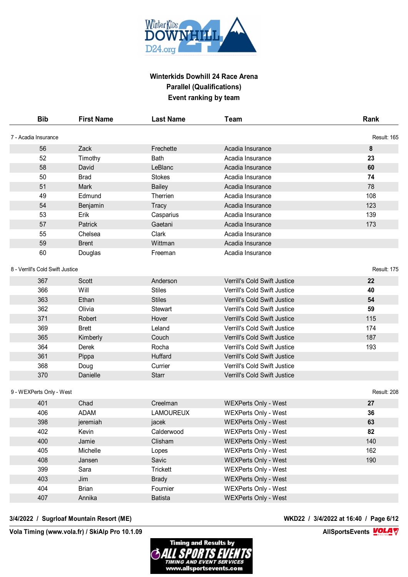

| <b>Bib</b>                       | <b>First Name</b> | <b>Last Name</b> | Team                                | Rank        |
|----------------------------------|-------------------|------------------|-------------------------------------|-------------|
| 7 - Acadia Insurance             |                   |                  |                                     | Result: 165 |
| 56                               | Zack              | Frechette        | Acadia Insurance                    | 8           |
| 52                               | Timothy           | <b>Bath</b>      | Acadia Insurance                    | 23          |
| 58                               | David             | LeBlanc          | Acadia Insurance                    | 60          |
| 50                               | <b>Brad</b>       | <b>Stokes</b>    | Acadia Insurance                    | 74          |
| 51                               | Mark              | <b>Bailey</b>    | Acadia Insurance                    | 78          |
| 49                               | Edmund            | Therrien         | Acadia Insurance                    | 108         |
| 54                               | Benjamin          | <b>Tracy</b>     | Acadia Insurance                    | 123         |
| 53                               | Erik              | Casparius        | Acadia Insurance                    | 139         |
| 57                               | Patrick           | Gaetani          | Acadia Insurance                    | 173         |
| 55                               | Chelsea           | Clark            | Acadia Insurance                    |             |
| 59                               | <b>Brent</b>      | Wittman          | Acadia Insurance                    |             |
| 60                               | Douglas           | Freeman          | Acadia Insurance                    |             |
| 8 - Verrill's Cold Swift Justice |                   |                  |                                     | Result: 175 |
| 367                              | Scott             | Anderson         | Verrill's Cold Swift Justice        | 22          |
| 366                              | Will              | <b>Stiles</b>    | Verrill's Cold Swift Justice        | 40          |
| 363                              | Ethan             | <b>Stiles</b>    | <b>Verrill's Cold Swift Justice</b> | 54          |
| 362                              | Olivia            | <b>Stewart</b>   | Verrill's Cold Swift Justice        | 59          |
| 371                              | Robert            | Hover            | Verrill's Cold Swift Justice        | 115         |
| 369                              | <b>Brett</b>      | Leland           | Verrill's Cold Swift Justice        | 174         |
| 365                              | Kimberly          | Couch            | Verrill's Cold Swift Justice        | 187         |
| 364                              | Derek             | Rocha            | Verrill's Cold Swift Justice        | 193         |
| 361                              | Pippa             | Huffard          | Verrill's Cold Swift Justice        |             |
| 368                              | Doug              | Currier          | Verrill's Cold Swift Justice        |             |
| 370                              | Danielle          | <b>Starr</b>     | Verrill's Cold Swift Justice        |             |
| 9 - WEXPerts Only - West         |                   |                  |                                     | Result: 208 |
| 401                              | Chad              | Creelman         | <b>WEXPerts Only - West</b>         | 27          |
| 406                              | <b>ADAM</b>       | <b>LAMOUREUX</b> | <b>WEXPerts Only - West</b>         | 36          |
| 398                              | jeremiah          | jacek            | <b>WEXPerts Only - West</b>         | 63          |
| 402                              | Kevin             | Calderwood       | <b>WEXPerts Only - West</b>         | 82          |
| 400                              | Jamie             | Clisham          | <b>WEXPerts Only - West</b>         | 140         |
| 405                              | Michelle          | Lopes            | WEXPerts Only - West                | 162         |
| 408                              | Jansen            | Savic            | <b>WEXPerts Only - West</b>         | 190         |
| 399                              | Sara              | <b>Trickett</b>  | <b>WEXPerts Only - West</b>         |             |
| 403                              | Jim               | <b>Brady</b>     | <b>WEXPerts Only - West</b>         |             |
| 404                              | <b>Brian</b>      | Fournier         | <b>WEXPerts Only - West</b>         |             |
| 407                              | Annika            | <b>Batista</b>   | <b>WEXPerts Only - West</b>         |             |
|                                  |                   |                  |                                     |             |

#### **3/4/2022 / Sugrloaf Mountain Resort (ME) WKD22 / 3/4/2022 at 16:40 / Page 6/12**

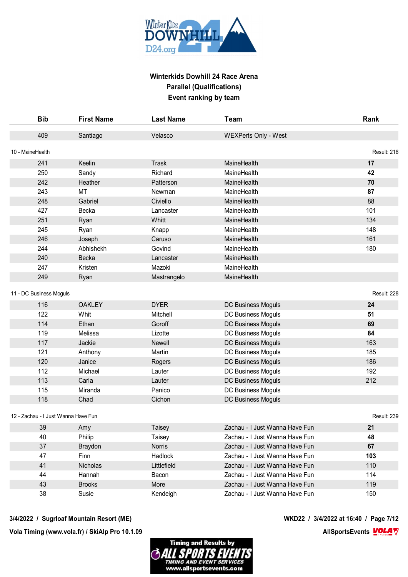

| <b>Bib</b>                          | <b>First Name</b> | <b>Last Name</b> | Team                           | Rank        |
|-------------------------------------|-------------------|------------------|--------------------------------|-------------|
| 409                                 | Santiago          | Velasco          | <b>WEXPerts Only - West</b>    |             |
| 10 - MaineHealth                    |                   |                  |                                | Result: 216 |
| 241                                 | Keelin            | Trask            | MaineHealth                    | 17          |
| 250                                 | Sandy             | Richard          | MaineHealth                    | 42          |
| 242                                 | <b>Heather</b>    | Patterson        | MaineHealth                    | 70          |
| 243                                 | MT                | Newman           | MaineHealth                    | 87          |
| 248                                 | Gabriel           | Civiello         | MaineHealth                    | 88          |
| 427                                 | Becka             | Lancaster        | MaineHealth                    | 101         |
| 251                                 | Ryan              | Whitt            | MaineHealth                    | 134         |
| 245                                 | Ryan              | Knapp            | MaineHealth                    | 148         |
| 246                                 | Joseph            | Caruso           | MaineHealth                    | 161         |
| 244                                 | Abhishekh         | Govind           | MaineHealth                    | 180         |
| 240                                 | Becka             | Lancaster        | MaineHealth                    |             |
| 247                                 | Kristen           | Mazoki           | MaineHealth                    |             |
| 249                                 | Ryan              | Mastrangelo      | MaineHealth                    |             |
|                                     |                   |                  |                                | Result: 228 |
| 11 - DC Business Moguls             |                   |                  |                                |             |
| 116                                 | <b>OAKLEY</b>     | <b>DYER</b>      | DC Business Moguls             | 24          |
| 122                                 | Whit              | Mitchell         | DC Business Moguls             | 51          |
| 114                                 | Ethan             | Goroff           | DC Business Moguls             | 69          |
| 119                                 | Melissa           | Lizotte          | DC Business Moguls             | 84          |
| 117                                 | Jackie            | Newell           | DC Business Moguls             | 163         |
| 121                                 | Anthony           | Martin           | DC Business Moguls             | 185         |
| 120                                 | Janice            | Rogers           | DC Business Moguls             | 186         |
| 112                                 | Michael           | Lauter           | DC Business Moguls             | 192         |
| 113                                 | Carla             | Lauter           | DC Business Moguls             | 212         |
| 115                                 | Miranda           | Panico           | DC Business Moguls             |             |
| 118                                 | Chad              | Cichon           | DC Business Moguls             |             |
| 12 - Zachau - I Just Wanna Have Fun |                   |                  |                                | Result: 239 |
| 39                                  | Amy               | Taisey           | Zachau - I Just Wanna Have Fun | 21          |
| 40                                  | Philip            | Taisey           | Zachau - I Just Wanna Have Fun | 48          |
| 37                                  | <b>Braydon</b>    | <b>Norris</b>    | Zachau - I Just Wanna Have Fun | 67          |
| 47                                  | Finn              | Hadlock          | Zachau - I Just Wanna Have Fun | 103         |
| 41                                  | Nicholas          | Littlefield      | Zachau - I Just Wanna Have Fun | 110         |
| 44                                  | Hannah            | Bacon            | Zachau - I Just Wanna Have Fun | 114         |
| 43                                  | <b>Brooks</b>     | More             | Zachau - I Just Wanna Have Fun | 119         |
| 38                                  | Susie             | Kendeigh         | Zachau - I Just Wanna Have Fun | 150         |

#### **3/4/2022 / Sugrloaf Mountain Resort (ME) WKD22 / 3/4/2022 at 16:40 / Page 7/12**

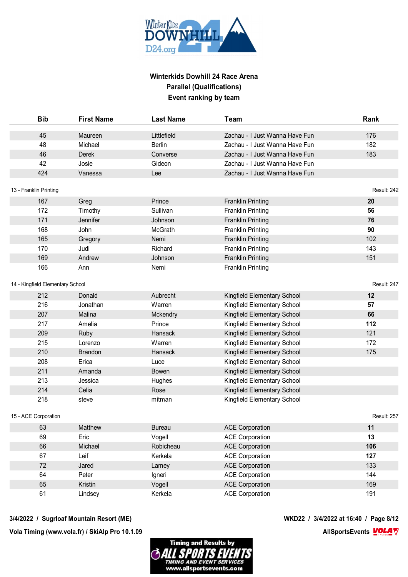

| <b>Bib</b>                       | <b>First Name</b> | <b>Last Name</b> | <b>Team</b>                    | Rank               |
|----------------------------------|-------------------|------------------|--------------------------------|--------------------|
| 45                               | Maureen           | Littlefield      | Zachau - I Just Wanna Have Fun | 176                |
| 48                               | Michael           | <b>Berlin</b>    | Zachau - I Just Wanna Have Fun | 182                |
| 46                               | Derek             | Converse         | Zachau - I Just Wanna Have Fun | 183                |
| 42                               | Josie             | Gideon           | Zachau - I Just Wanna Have Fun |                    |
| 424                              | Vanessa           | Lee              | Zachau - I Just Wanna Have Fun |                    |
| 13 - Franklin Printing           |                   |                  |                                | Result: 242        |
| 167                              | Greg              | Prince           | <b>Franklin Printing</b>       | 20                 |
| 172                              | Timothy           | Sullivan         | <b>Franklin Printing</b>       | 56                 |
| 171                              | Jennifer          | Johnson          | <b>Franklin Printing</b>       | 76                 |
| 168                              | John              | McGrath          | <b>Franklin Printing</b>       | 90                 |
| 165                              | Gregory           | Nemi             | <b>Franklin Printing</b>       | 102                |
| 170                              | Judi              | Richard          | <b>Franklin Printing</b>       | 143                |
| 169                              | Andrew            | Johnson          | <b>Franklin Printing</b>       | 151                |
| 166                              | Ann               | Nemi             | <b>Franklin Printing</b>       |                    |
| 14 - Kingfield Elementary School |                   |                  |                                | Result: 247        |
| 212                              | Donald            | Aubrecht         | Kingfield Elementary School    | 12                 |
| 216                              | Jonathan          | Warren           | Kingfield Elementary School    | 57                 |
| 207                              | Malina            | Mckendry         | Kingfield Elementary School    | 66                 |
| 217                              | Amelia            | Prince           | Kingfield Elementary School    | 112                |
| 209                              | Ruby              | Hansack          | Kingfield Elementary School    | 121                |
| 215                              | Lorenzo           | Warren           | Kingfield Elementary School    | 172                |
| 210                              | <b>Brandon</b>    | Hansack          | Kingfield Elementary School    | 175                |
| 208                              | Erica             | Luce             | Kingfield Elementary School    |                    |
| 211                              | Amanda            | <b>Bowen</b>     | Kingfield Elementary School    |                    |
| 213                              | Jessica           | Hughes           | Kingfield Elementary School    |                    |
| 214                              | Celia             | Rose             | Kingfield Elementary School    |                    |
| 218                              | steve             | mitman           | Kingfield Elementary School    |                    |
| 15 - ACE Corporation             |                   |                  |                                | <b>Result: 257</b> |
| 63                               | Matthew           | <b>Bureau</b>    | <b>ACE Corporation</b>         | 11                 |
| 69                               | Eric              | Vogell           | <b>ACE Corporation</b>         | 13                 |
| 66                               | Michael           | Robicheau        | <b>ACE Corporation</b>         | 106                |
| 67                               | Leif              | Kerkela          | <b>ACE Corporation</b>         | 127                |
| 72                               | Jared             | Lamey            | <b>ACE Corporation</b>         | 133                |
| 64                               | Peter             | Igneri           | <b>ACE Corporation</b>         | 144                |
| 65                               | Kristin           | Vogell           | <b>ACE Corporation</b>         | 169                |
| 61                               | Lindsey           | Kerkela          | <b>ACE Corporation</b>         | 191                |

#### **3/4/2022 / Sugrloaf Mountain Resort (ME) WKD22 / 3/4/2022 at 16:40 / Page 8/12**

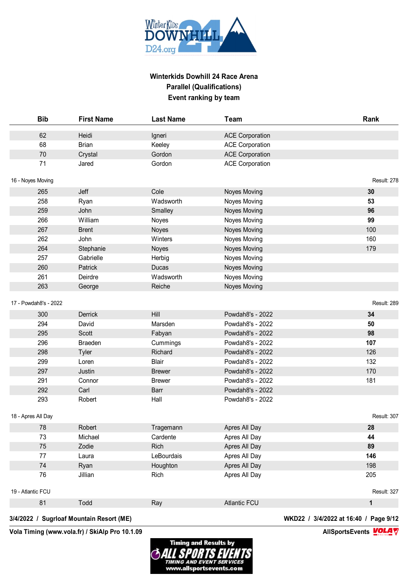

| <b>Bib</b>            | <b>First Name</b> | <b>Last Name</b> | Team                   | Rank         |
|-----------------------|-------------------|------------------|------------------------|--------------|
| 62                    | Heidi             | Igneri           | <b>ACE Corporation</b> |              |
| 68                    | <b>Brian</b>      | Keeley           | <b>ACE Corporation</b> |              |
| 70                    | Crystal           | Gordon           | <b>ACE Corporation</b> |              |
| 71                    | Jared             | Gordon           | <b>ACE Corporation</b> |              |
| 16 - Noyes Moving     |                   |                  |                        | Result: 278  |
| 265                   | Jeff              | Cole             | Noyes Moving           | 30           |
| 258                   | Ryan              | Wadsworth        | Noyes Moving           | 53           |
| 259                   | John              | Smalley          | <b>Noyes Moving</b>    | 96           |
| 266                   | William           | Noyes            | Noyes Moving           | 99           |
| 267                   | <b>Brent</b>      | Noyes            | <b>Noyes Moving</b>    | 100          |
| 262                   | John              | Winters          | Noyes Moving           | 160          |
| 264                   | Stephanie         | Noyes            | <b>Noyes Moving</b>    | 179          |
| 257                   | Gabrielle         | Herbig           | Noyes Moving           |              |
| 260                   | Patrick           | <b>Ducas</b>     | <b>Noyes Moving</b>    |              |
| 261                   | Deirdre           | Wadsworth        | Noyes Moving           |              |
| 263                   | George            | Reiche           | <b>Noyes Moving</b>    |              |
| 17 - Powdah8's - 2022 |                   |                  |                        | Result: 289  |
| 300                   | Derrick           | Hill             | Powdah8's - 2022       | 34           |
| 294                   | David             | Marsden          | Powdah8's - 2022       | 50           |
| 295                   | Scott             | Fabyan           | Powdah8's - 2022       | 98           |
| 296                   | <b>Braeden</b>    | Cummings         | Powdah8's - 2022       | 107          |
| 298                   | <b>Tyler</b>      | Richard          | Powdah8's - 2022       | 126          |
| 299                   | Loren             | Blair            | Powdah8's - 2022       | 132          |
| 297                   | Justin            | <b>Brewer</b>    | Powdah8's - 2022       | 170          |
| 291                   | Connor            | <b>Brewer</b>    | Powdah8's - 2022       | 181          |
| 292                   | Carl              | Barr             | Powdah8's - 2022       |              |
| 293                   | Robert            | Hall             | Powdah8's - 2022       |              |
| 18 - Apres All Day    |                   |                  |                        | Result: 307  |
| 78                    | Robert            | Tragemann        | Apres All Day          | 28           |
| 73                    | Michael           | Cardente         | Apres All Day          | 44           |
| 75                    | Zodie             | Rich             | Apres All Day          | 89           |
| 77                    | Laura             | LeBourdais       | Apres All Day          | 146          |
| 74                    | Ryan              | Houghton         | Apres All Day          | 198          |
| $76\,$                | Jillian           | Rich             | Apres All Day          | 205          |
| 19 - Atlantic FCU     |                   |                  |                        | Result: 327  |
| 81                    | Todd              | Ray              | <b>Atlantic FCU</b>    | $\mathbf{1}$ |

### **3/4/2022 / Sugrloaf Mountain Resort (ME) WKD22 / 3/4/2022 at 16:40 / Page 9/12**

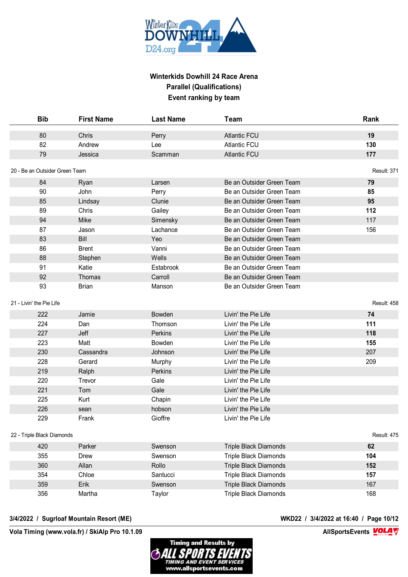

| <b>Bib</b>                     | <b>First Name</b> | <b>Last Name</b> | <b>Team</b>                  | Rank        |
|--------------------------------|-------------------|------------------|------------------------------|-------------|
| 80                             | Chris             | Perry            | <b>Atlantic FCU</b>          | 19          |
| 82                             | Andrew            | Lee              | <b>Atlantic FCU</b>          | 130         |
| 79                             | Jessica           | Scamman          | <b>Atlantic FCU</b>          | 177         |
| 20 - Be an Outsider Green Team |                   |                  |                              | Result: 371 |
| 84                             | Ryan              | Larsen           | Be an Outsider Green Team    | 79          |
| 90                             | John              | Perry            | Be an Outsider Green Team    | 85          |
| 85                             | Lindsay           | Clunie           | Be an Outsider Green Team    | 95          |
| 89                             | Chris             | Gailey           | Be an Outsider Green Team    | 112         |
| 94                             | Mike              | Simensky         | Be an Outsider Green Team    | 117         |
| 87                             | Jason             | Lachance         | Be an Outsider Green Team    | 156         |
| 83                             | Bill              | Yeo              | Be an Outsider Green Team    |             |
| 86                             | <b>Brent</b>      | Vanni            | Be an Outsider Green Team    |             |
| 88                             | Stephen           | Wells            | Be an Outsider Green Team    |             |
| 91                             | Katie             | Estabrook        | Be an Outsider Green Team    |             |
| 92                             | Thomas            | Carroll          | Be an Outsider Green Team    |             |
| 93                             | <b>Brian</b>      | Manson           | Be an Outsider Green Team    |             |
|                                |                   |                  |                              |             |
| 21 - Livin' the Pie Life       |                   |                  |                              | Result: 458 |
| 222                            | Jamie             | <b>Bowden</b>    | Livin' the Pie Life          | 74          |
| 224                            | Dan               | Thomson          | Livin' the Pie Life          | 111         |
| 227                            | Jeff              | Perkins          | Livin' the Pie Life          | 118         |
| 223                            | Matt              | Bowden           | Livin' the Pie Life          | 155         |
| 230                            | Cassandra         | Johnson          | Livin' the Pie Life          | 207         |
| 228                            | Gerard            | Murphy           | Livin' the Pie Life          | 209         |
| 219                            | Ralph             | Perkins          | Livin' the Pie Life          |             |
| 220                            | Trevor            | Gale             | Livin' the Pie Life          |             |
| 221                            | Tom               | Gale             | Livin' the Pie Life          |             |
| 225                            | Kurt              | Chapin           | Livin' the Pie Life          |             |
| 226                            | sean              | hobson           | Livin' the Pie Life          |             |
| 229                            | Frank             | Gioffre          | Livin' the Pie Life          |             |
| 22 - Triple Black Diamonds     |                   |                  |                              | Result: 475 |
| 420                            | Parker            | Swenson          | <b>Triple Black Diamonds</b> | 62          |
| 355                            | Drew              | Swenson          | <b>Triple Black Diamonds</b> | 104         |
| 360                            | Allan             | Rollo            | <b>Triple Black Diamonds</b> | 152         |
| 354                            | Chloe             | Santucci         | Triple Black Diamonds        | 157         |
| 359                            | Erik              | Swenson          | <b>Triple Black Diamonds</b> | 167         |
| 356                            | Martha            | Taylor           | Triple Black Diamonds        | 168         |

#### **3/4/2022 / Sugrloaf Mountain Resort (ME) WKD22 / 3/4/2022 at 16:40 / Page 10/12**

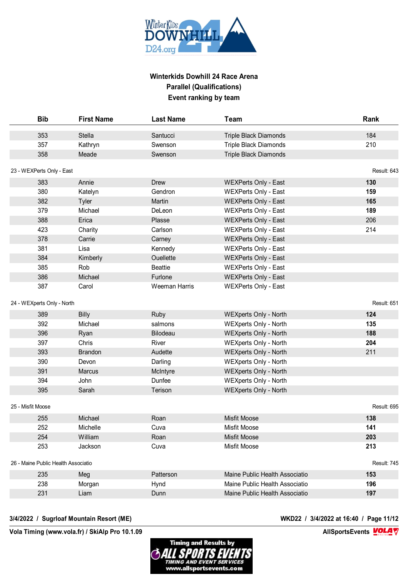

| <b>Bib</b>                          | <b>First Name</b> | <b>Last Name</b>     | Team                           | Rank        |
|-------------------------------------|-------------------|----------------------|--------------------------------|-------------|
| 353                                 | Stella            | Santucci             | <b>Triple Black Diamonds</b>   | 184         |
| 357                                 | Kathryn           | Swenson              | <b>Triple Black Diamonds</b>   | 210         |
| 358                                 | Meade             | Swenson              | <b>Triple Black Diamonds</b>   |             |
| 23 - WEXPerts Only - East           |                   |                      |                                | Result: 643 |
| 383                                 | Annie             | <b>Drew</b>          | <b>WEXPerts Only - East</b>    | 130         |
| 380                                 | Katelyn           | Gendron              | <b>WEXPerts Only - East</b>    | 159         |
| 382                                 | Tyler             | Martin               | <b>WEXPerts Only - East</b>    | 165         |
| 379                                 | Michael           | DeLeon               | <b>WEXPerts Only - East</b>    | 189         |
| 388                                 | Erica             | Plasse               | <b>WEXPerts Only - East</b>    | 206         |
| 423                                 | Charity           | Carlson              | <b>WEXPerts Only - East</b>    | 214         |
| 378                                 | Carrie            | Carney               | <b>WEXPerts Only - East</b>    |             |
| 381                                 | Lisa              | Kennedy              | <b>WEXPerts Only - East</b>    |             |
| 384                                 | Kimberly          | Ouellette            | <b>WEXPerts Only - East</b>    |             |
| 385                                 | Rob               | <b>Beattie</b>       | <b>WEXPerts Only - East</b>    |             |
| 386                                 | Michael           | Furlone              | <b>WEXPerts Only - East</b>    |             |
| 387                                 | Carol             | <b>Weeman Harris</b> | <b>WEXPerts Only - East</b>    |             |
| 24 - WEXperts Only - North          |                   |                      |                                | Result: 651 |
| 389                                 | <b>Billy</b>      | Ruby                 | <b>WEXperts Only - North</b>   | 124         |
| 392                                 | Michael           | salmons              | <b>WEXperts Only - North</b>   | 135         |
| 396                                 | Ryan              | Bilodeau             | <b>WEXperts Only - North</b>   | 188         |
| 397                                 | Chris             | River                | <b>WEXperts Only - North</b>   | 204         |
| 393                                 | <b>Brandon</b>    | Audette              | <b>WEXperts Only - North</b>   | 211         |
| 390                                 | Devon             | Darling              | <b>WEXperts Only - North</b>   |             |
| 391                                 | Marcus            | McIntyre             | <b>WEXperts Only - North</b>   |             |
| 394                                 | John              | Dunfee               | <b>WEXperts Only - North</b>   |             |
| 395                                 | Sarah             | Terison              | <b>WEXperts Only - North</b>   |             |
|                                     |                   |                      |                                |             |
| 25 - Misfit Moose                   |                   |                      |                                | Result: 695 |
| 255                                 | Michael           | Roan                 | <b>Misfit Moose</b>            | 138         |
| 252                                 | Michelle          | Cuva                 | <b>Misfit Moose</b>            | 141         |
| 254                                 | William           | Roan                 | <b>Misfit Moose</b>            | 203         |
| 253                                 | Jackson           | Cuva                 | Misfit Moose                   | 213         |
| 26 - Maine Public Health Associatio |                   |                      |                                | Result: 745 |
| 235                                 | Meg               | Patterson            | Maine Public Health Associatio | 153         |
| 238                                 | Morgan            | Hynd                 | Maine Public Health Associatio | 196         |
| 231                                 | Liam              | Dunn                 | Maine Public Health Associatio | 197         |

#### **3/4/2022 / Sugrloaf Mountain Resort (ME) WKD22 / 3/4/2022 at 16:40 / Page 11/12**